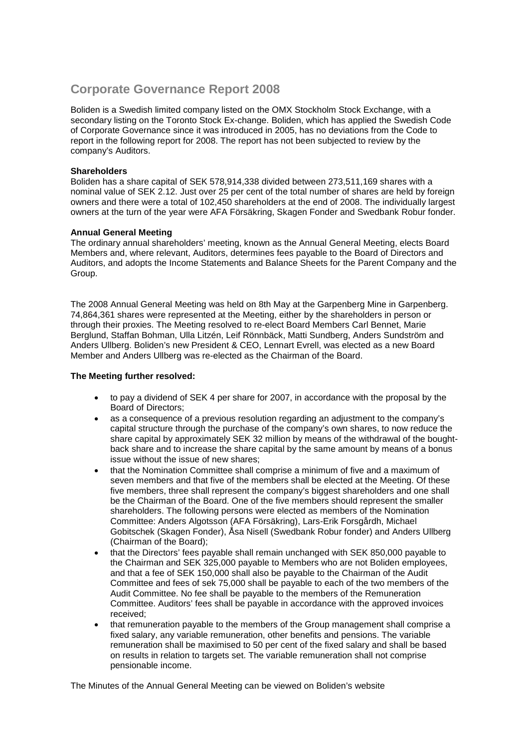# **Corporate Governance Report 2008**

Boliden is a Swedish limited company listed on the OMX Stockholm Stock Exchange, with a secondary listing on the Toronto Stock Ex-change. Boliden, which has applied the Swedish Code of Corporate Governance since it was introduced in 2005, has no deviations from the Code to report in the following report for 2008. The report has not been subjected to review by the company's Auditors.

## **Shareholders**

Boliden has a share capital of SEK 578,914,338 divided between 273,511,169 shares with a nominal value of SEK 2.12. Just over 25 per cent of the total number of shares are held by foreign owners and there were a total of 102,450 shareholders at the end of 2008. The individually largest owners at the turn of the year were AFA Försäkring, Skagen Fonder and Swedbank Robur fonder.

## **Annual General Meeting**

The ordinary annual shareholders' meeting, known as the Annual General Meeting, elects Board Members and, where relevant, Auditors, determines fees payable to the Board of Directors and Auditors, and adopts the Income Statements and Balance Sheets for the Parent Company and the Group.

The 2008 Annual General Meeting was held on 8th May at the Garpenberg Mine in Garpenberg. 74,864,361 shares were represented at the Meeting, either by the shareholders in person or through their proxies. The Meeting resolved to re-elect Board Members Carl Bennet, Marie Berglund, Staffan Bohman, Ulla Litzén, Leif Rönnbäck, Matti Sundberg, Anders Sundström and Anders Ullberg. Boliden's new President & CEO, Lennart Evrell, was elected as a new Board Member and Anders Ullberg was re-elected as the Chairman of the Board.

## **The Meeting further resolved:**

- to pay a dividend of SEK 4 per share for 2007, in accordance with the proposal by the Board of Directors;
- as a consequence of a previous resolution regarding an adjustment to the company's capital structure through the purchase of the company's own shares, to now reduce the share capital by approximately SEK 32 million by means of the withdrawal of the boughtback share and to increase the share capital by the same amount by means of a bonus issue without the issue of new shares;
- that the Nomination Committee shall comprise a minimum of five and a maximum of seven members and that five of the members shall be elected at the Meeting. Of these five members, three shall represent the company's biggest shareholders and one shall be the Chairman of the Board. One of the five members should represent the smaller shareholders. The following persons were elected as members of the Nomination Committee: Anders Algotsson (AFA Försäkring), Lars-Erik Forsgårdh, Michael Gobitschek (Skagen Fonder), Åsa Nisell (Swedbank Robur fonder) and Anders Ullberg (Chairman of the Board);
- that the Directors' fees payable shall remain unchanged with SEK 850,000 payable to the Chairman and SEK 325,000 payable to Members who are not Boliden employees, and that a fee of SEK 150,000 shall also be payable to the Chairman of the Audit Committee and fees of sek 75,000 shall be payable to each of the two members of the Audit Committee. No fee shall be payable to the members of the Remuneration Committee. Auditors' fees shall be payable in accordance with the approved invoices received;
- that remuneration payable to the members of the Group management shall comprise a fixed salary, any variable remuneration, other benefits and pensions. The variable remuneration shall be maximised to 50 per cent of the fixed salary and shall be based on results in relation to targets set. The variable remuneration shall not comprise pensionable income.

The Minutes of the Annual General Meeting can be viewed on Boliden's website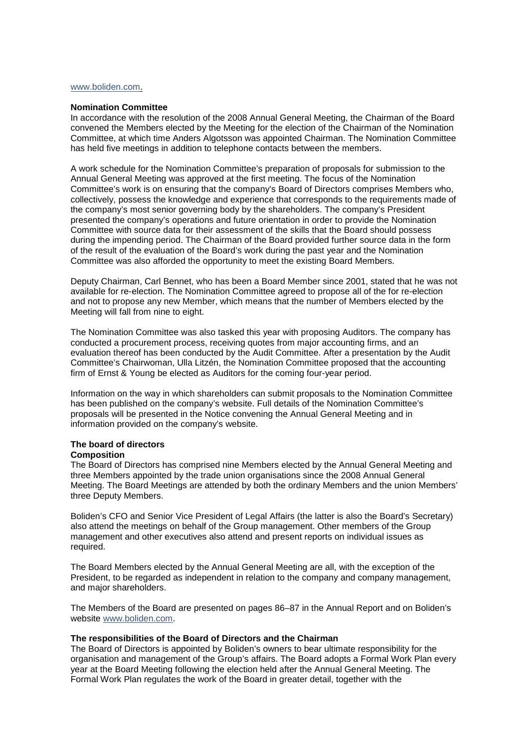#### [www.boliden.com.](http://www.boliden.com/)

#### **Nomination Committee**

In accordance with the resolution of the 2008 Annual General Meeting, the Chairman of the Board convened the Members elected by the Meeting for the election of the Chairman of the Nomination Committee, at which time Anders Algotsson was appointed Chairman. The Nomination Committee has held five meetings in addition to telephone contacts between the members.

A work schedule for the Nomination Committee's preparation of proposals for submission to the Annual General Meeting was approved at the first meeting. The focus of the Nomination Committee's work is on ensuring that the company's Board of Directors comprises Members who, collectively, possess the knowledge and experience that corresponds to the requirements made of the company's most senior governing body by the shareholders. The company's President presented the company's operations and future orientation in order to provide the Nomination Committee with source data for their assessment of the skills that the Board should possess during the impending period. The Chairman of the Board provided further source data in the form of the result of the evaluation of the Board's work during the past year and the Nomination Committee was also afforded the opportunity to meet the existing Board Members.

Deputy Chairman, Carl Bennet, who has been a Board Member since 2001, stated that he was not available for re-election. The Nomination Committee agreed to propose all of the for re-election and not to propose any new Member, which means that the number of Members elected by the Meeting will fall from nine to eight.

The Nomination Committee was also tasked this year with proposing Auditors. The company has conducted a procurement process, receiving quotes from major accounting firms, and an evaluation thereof has been conducted by the Audit Committee. After a presentation by the Audit Committee's Chairwoman, Ulla Litzén, the Nomination Committee proposed that the accounting firm of Ernst & Young be elected as Auditors for the coming four-year period.

Information on the way in which shareholders can submit proposals to the Nomination Committee has been published on the company's website. Full details of the Nomination Committee's proposals will be presented in the Notice convening the Annual General Meeting and in information provided on the company's website.

# **The board of directors**

## **Composition**

The Board of Directors has comprised nine Members elected by the Annual General Meeting and three Members appointed by the trade union organisations since the 2008 Annual General Meeting. The Board Meetings are attended by both the ordinary Members and the union Members' three Deputy Members.

Boliden's CFO and Senior Vice President of Legal Affairs (the latter is also the Board's Secretary) also attend the meetings on behalf of the Group management. Other members of the Group management and other executives also attend and present reports on individual issues as required.

The Board Members elected by the Annual General Meeting are all, with the exception of the President, to be regarded as independent in relation to the company and company management, and major shareholders.

The Members of the Board are presented on pages 86–87 in the Annual Report and on Boliden's website [www.boliden.com.](http://www.boliden.com/)

#### **The responsibilities of the Board of Directors and the Chairman**

The Board of Directors is appointed by Boliden's owners to bear ultimate responsibility for the organisation and management of the Group's affairs. The Board adopts a Formal Work Plan every year at the Board Meeting following the election held after the Annual General Meeting. The Formal Work Plan regulates the work of the Board in greater detail, together with the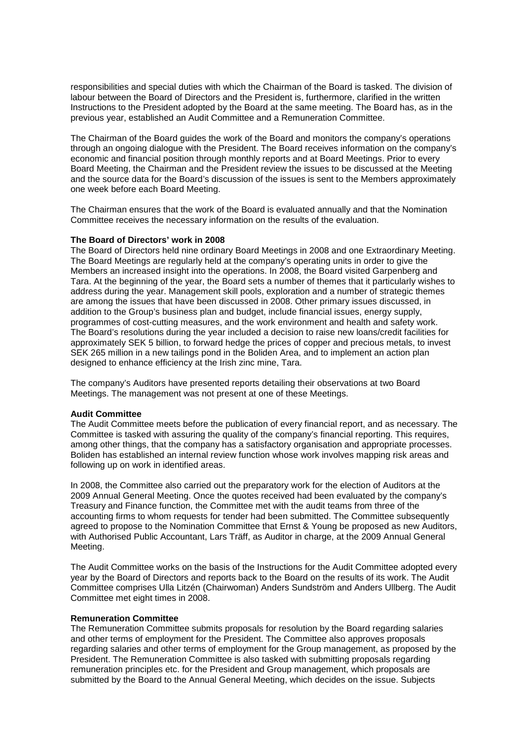responsibilities and special duties with which the Chairman of the Board is tasked. The division of labour between the Board of Directors and the President is, furthermore, clarified in the written Instructions to the President adopted by the Board at the same meeting. The Board has, as in the previous year, established an Audit Committee and a Remuneration Committee.

The Chairman of the Board guides the work of the Board and monitors the company's operations through an ongoing dialogue with the President. The Board receives information on the company's economic and financial position through monthly reports and at Board Meetings. Prior to every Board Meeting, the Chairman and the President review the issues to be discussed at the Meeting and the source data for the Board's discussion of the issues is sent to the Members approximately one week before each Board Meeting.

The Chairman ensures that the work of the Board is evaluated annually and that the Nomination Committee receives the necessary information on the results of the evaluation.

## **The Board of Directors' work in 2008**

The Board of Directors held nine ordinary Board Meetings in 2008 and one Extraordinary Meeting. The Board Meetings are regularly held at the company's operating units in order to give the Members an increased insight into the operations. In 2008, the Board visited Garpenberg and Tara. At the beginning of the year, the Board sets a number of themes that it particularly wishes to address during the year. Management skill pools, exploration and a number of strategic themes are among the issues that have been discussed in 2008. Other primary issues discussed, in addition to the Group's business plan and budget, include financial issues, energy supply, programmes of cost-cutting measures, and the work environment and health and safety work. The Board's resolutions during the year included a decision to raise new loans/credit facilities for approximately SEK 5 billion, to forward hedge the prices of copper and precious metals, to invest SEK 265 million in a new tailings pond in the Boliden Area, and to implement an action plan designed to enhance efficiency at the Irish zinc mine, Tara.

The company's Auditors have presented reports detailing their observations at two Board Meetings. The management was not present at one of these Meetings.

#### **Audit Committee**

The Audit Committee meets before the publication of every financial report, and as necessary. The Committee is tasked with assuring the quality of the company's financial reporting. This requires, among other things, that the company has a satisfactory organisation and appropriate processes. Boliden has established an internal review function whose work involves mapping risk areas and following up on work in identified areas.

In 2008, the Committee also carried out the preparatory work for the election of Auditors at the 2009 Annual General Meeting. Once the quotes received had been evaluated by the company's Treasury and Finance function, the Committee met with the audit teams from three of the accounting firms to whom requests for tender had been submitted. The Committee subsequently agreed to propose to the Nomination Committee that Ernst & Young be proposed as new Auditors, with Authorised Public Accountant, Lars Träff, as Auditor in charge, at the 2009 Annual General Meeting.

The Audit Committee works on the basis of the Instructions for the Audit Committee adopted every year by the Board of Directors and reports back to the Board on the results of its work. The Audit Committee comprises Ulla Litzén (Chairwoman) Anders Sundström and Anders Ullberg. The Audit Committee met eight times in 2008.

#### **Remuneration Committee**

The Remuneration Committee submits proposals for resolution by the Board regarding salaries and other terms of employment for the President. The Committee also approves proposals regarding salaries and other terms of employment for the Group management, as proposed by the President. The Remuneration Committee is also tasked with submitting proposals regarding remuneration principles etc. for the President and Group management, which proposals are submitted by the Board to the Annual General Meeting, which decides on the issue. Subjects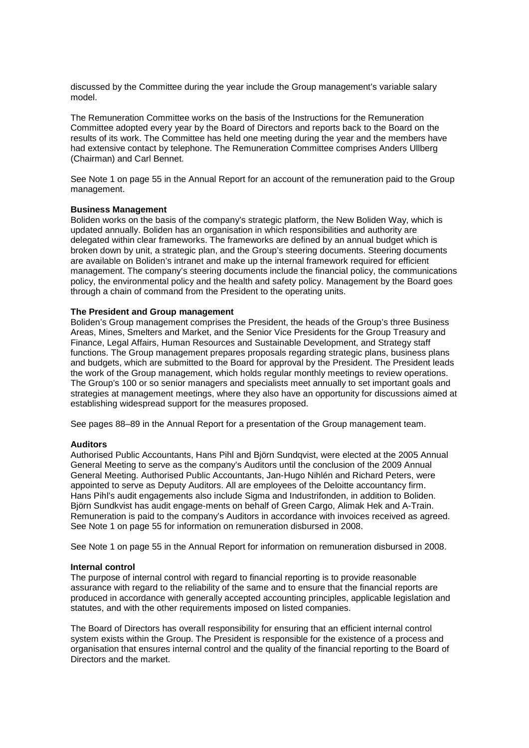discussed by the Committee during the year include the Group management's variable salary model.

The Remuneration Committee works on the basis of the Instructions for the Remuneration Committee adopted every year by the Board of Directors and reports back to the Board on the results of its work. The Committee has held one meeting during the year and the members have had extensive contact by telephone. The Remuneration Committee comprises Anders Ullberg (Chairman) and Carl Bennet.

See Note 1 on page 55 in the Annual Report for an account of the remuneration paid to the Group management.

## **Business Management**

Boliden works on the basis of the company's strategic platform, the New Boliden Way, which is updated annually. Boliden has an organisation in which responsibilities and authority are delegated within clear frameworks. The frameworks are defined by an annual budget which is broken down by unit, a strategic plan, and the Group's steering documents. Steering documents are available on Boliden's intranet and make up the internal framework required for efficient management. The company's steering documents include the financial policy, the communications policy, the environmental policy and the health and safety policy. Management by the Board goes through a chain of command from the President to the operating units.

## **The President and Group management**

Boliden's Group management comprises the President, the heads of the Group's three Business Areas, Mines, Smelters and Market, and the Senior Vice Presidents for the Group Treasury and Finance, Legal Affairs, Human Resources and Sustainable Development, and Strategy staff functions. The Group management prepares proposals regarding strategic plans, business plans and budgets, which are submitted to the Board for approval by the President. The President leads the work of the Group management, which holds regular monthly meetings to review operations. The Group's 100 or so senior managers and specialists meet annually to set important goals and strategies at management meetings, where they also have an opportunity for discussions aimed at establishing widespread support for the measures proposed.

See pages 88–89 in the Annual Report for a presentation of the Group management team.

## **Auditors**

Authorised Public Accountants, Hans Pihl and Björn Sundqvist, were elected at the 2005 Annual General Meeting to serve as the company's Auditors until the conclusion of the 2009 Annual General Meeting. Authorised Public Accountants, Jan-Hugo Nihlén and Richard Peters, were appointed to serve as Deputy Auditors. All are employees of the Deloitte accountancy firm. Hans Pihl's audit engagements also include Sigma and Industrifonden, in addition to Boliden. Björn Sundkvist has audit engage-ments on behalf of Green Cargo, Alimak Hek and A-Train. Remuneration is paid to the company's Auditors in accordance with invoices received as agreed. See Note 1 on page 55 for information on remuneration disbursed in 2008.

See Note 1 on page 55 in the Annual Report for information on remuneration disbursed in 2008.

## **Internal control**

The purpose of internal control with regard to financial reporting is to provide reasonable assurance with regard to the reliability of the same and to ensure that the financial reports are produced in accordance with generally accepted accounting principles, applicable legislation and statutes, and with the other requirements imposed on listed companies.

The Board of Directors has overall responsibility for ensuring that an efficient internal control system exists within the Group. The President is responsible for the existence of a process and organisation that ensures internal control and the quality of the financial reporting to the Board of Directors and the market.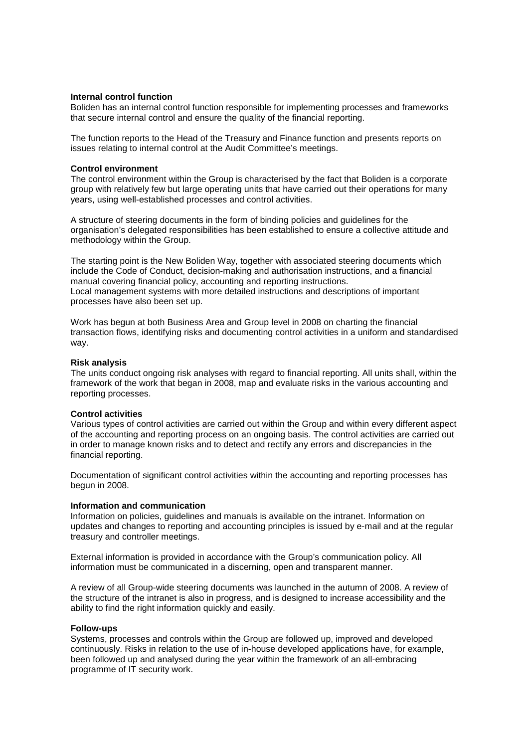## **Internal control function**

Boliden has an internal control function responsible for implementing processes and frameworks that secure internal control and ensure the quality of the financial reporting.

The function reports to the Head of the Treasury and Finance function and presents reports on issues relating to internal control at the Audit Committee's meetings.

## **Control environment**

The control environment within the Group is characterised by the fact that Boliden is a corporate group with relatively few but large operating units that have carried out their operations for many years, using well-established processes and control activities.

A structure of steering documents in the form of binding policies and guidelines for the organisation's delegated responsibilities has been established to ensure a collective attitude and methodology within the Group.

The starting point is the New Boliden Way, together with associated steering documents which include the Code of Conduct, decision-making and authorisation instructions, and a financial manual covering financial policy, accounting and reporting instructions. Local management systems with more detailed instructions and descriptions of important processes have also been set up.

Work has begun at both Business Area and Group level in 2008 on charting the financial transaction flows, identifying risks and documenting control activities in a uniform and standardised way.

## **Risk analysis**

The units conduct ongoing risk analyses with regard to financial reporting. All units shall, within the framework of the work that began in 2008, map and evaluate risks in the various accounting and reporting processes.

## **Control activities**

Various types of control activities are carried out within the Group and within every different aspect of the accounting and reporting process on an ongoing basis. The control activities are carried out in order to manage known risks and to detect and rectify any errors and discrepancies in the financial reporting.

Documentation of significant control activities within the accounting and reporting processes has begun in 2008.

#### **Information and communication**

Information on policies, guidelines and manuals is available on the intranet. Information on updates and changes to reporting and accounting principles is issued by e-mail and at the regular treasury and controller meetings.

External information is provided in accordance with the Group's communication policy. All information must be communicated in a discerning, open and transparent manner.

A review of all Group-wide steering documents was launched in the autumn of 2008. A review of the structure of the intranet is also in progress, and is designed to increase accessibility and the ability to find the right information quickly and easily.

#### **Follow-ups**

Systems, processes and controls within the Group are followed up, improved and developed continuously. Risks in relation to the use of in-house developed applications have, for example, been followed up and analysed during the year within the framework of an all-embracing programme of IT security work.